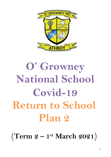

# **O' Growney National School Covid-19 Return to School Plan 2**

(**Term 2 – 1 st March 2021**)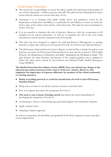## **Underlying Principles**

- The school has a responsibility to ensure the safety, health and well-being of all members of our school community – children, parents and staff. This plan has been formulated to better ensure that the school can exercise that duty of care.
- Assuming it is in keeping with public health advice and guidelines issued by the Department of Education and Skills, it is preferable for all children to return to school for all five days of the school week and for a full school day. This plan has been formulated to achieve that aim.
- It is not possible to eliminate the risk of infection. However, with the co-operation of all members of our school community, we will try to minimise the risk of the virus being introduced to school and the consequent risk of its spread.
- This plan has been designed to support the staff and Board of Management in putting measures in place that will prevent the spread of Covid-19 in O'Growney National School.
- The O'Growney National School Covid-19 Return to School Plan 2 details the policies and practices necessary for O'Growney National School to meet the Government's '*Work Safely Protocol'*, the Department of Education and Skills "*Roadmap for the Full Return to School*". The plan features the same elements and features of the original guidance but is updated to reflect the latest advice issued by Government and National Public Health Emergency Team (NPHET).

**The Health Protection Surveillance Centre (HPSC) have not advised any change in the infection prevention measures in the context of the new variants. However, they emphasise the importance of rigorous adherence by members of the school community to existing measures.** 

- **Doing everything practical to avoid the introduction of covid-19 into O'Growney National School.**
- Being aware of what we can all do to protect ourselves and each other
- How to recognise and report the symptoms of Covid-19
- **The need to stay at home if feeling unwell** and inform the school immediately if developing the symptoms of Covid-19
- Continuing to observe social distancing, good hand hygiene and respiratory etiquette.
- Apply common sense
- Adopting a balance approach

As well as co-operation, the flexibility and goodwill of all will be required to ensure the plan can be implemented.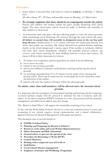#### **Timetables**

1. Junior infants to Second Class will return to school at **9.20a.m.** on Monday 1st March, 2021.

All other classes,  $3^{\text{rd}} - 6^{\text{th}}$  Class, will possibly return on Monday, 15<sup>th</sup> March 2021.

- 2. **We strongly emphasise that there should be no congregation outside the school.** Parents and children will remain outside the gates socially distancing until school begins. The main school gates will be closed for traffic to facilitate safe assembly of class numbers in these areas.
- 3. At 9.00a.m.the main side gates will open allowing pupils to enter the school grounds, while maintaining social distancing. On entrance through the main school side gates, **all infants to second class will assemble in designated areas in the car/bus park**  drop off area. Children from <sup>3rd</sup> to 6<sup>th</sup> classes will enter the school yard directly. For senior class pupils, our caretaker, Mr. Jimmy Herward has painted distance markings clearly on the school playground, 2 metres apart. If the weather is inclement, children will enter their classes immediately. Children will assemble between 9.00a.m. and 9.10a.m. with classes entering the main building between 9.10a.m. and 9.20a.m. All classes will be in their classrooms by 9.20a.m.
- 4. To reduce over-congestion, parents/guardians are asked to do the following:
- $\triangleright$  not to arrive too early
- $\triangleright$  remain in cars as long as possible
- $\triangleright$  advise your children to maintain social distance entering and leaving the school grounds
- $\triangleright$  we encourage all pupils from  $3^{\text{rd}}$  to  $6^{\text{th}}$  classes to wear masks when entering and leaving school. These may be removed once in the pupils are in the classroom, under the discretion of the teacher.
- $\triangleright$  parents will wear face masks at all times within the school grounds.

#### **No adults, other than staff members, will be allowed enter the internal school grounds.**

It is important that the resumption of school based teaching and learning and the reopening of school facilities comply with the protocol to minimise the risk to students, staff and others. As the advice issued by NPHET continues to evolve, this protocol and the measures management and staff need to address may also change.

The "*Return to School Plan* 2" will support the sustainable reopening of our school.

In line with the Work Safely Protocol, the key to a safe and continued return to work, and re-opening of our schools requires strong communication and a shared collaborative approach between the Board of Management, staff, pupils and parents.

This document aims to provide details of:

- **COVID-19 School Policy**
- **Planning and Preparing for Return to School 2**
- **Return to work safely and Lead Worker Representative(s**)
- **Safety Statement and Risk Assessment**
- **General advice to prevent the spread of the virus**
- **Procedure for Returning to Work (RTW)**
- **Control Measures**
- **Dealing with a suspected case of Covid-19**
- **Staff Duties**
- **Covid related absence management**
- **Employee Assistance and Wellbeing Programme**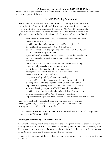#### **O' Growney National School COVID-19 Policy**

This COVID-19 policy outlines our commitment as a school to implement the plan and help prevent the spread of the virus.

#### **COVID 19 Policy Statement**

O'Growney National School is committed to providing a safe and healthy workplace for all our staff and a safe learning environment for all our pupils. To ensure that, we have developed the following COVID- 19 Response Plan. The BOM and all school staff are responsible for the implementation of this plan and a combined effort will help contain the spread of the virus. We will:

- continue to monitor our COVID-19 response and amend this plan in consultation with our staff
- provide up to date information to our staff and pupils on the Public Health advice issued by the HSE and Gov.ie
- display information on the signs and symptoms of COVID-19 and correct hand-washing techniques
- agree with staff, a worker representative who is easily identifiable to carry out the role outlined in this plan in relation to summer provision
- inform all staff and pupils of essential hygiene and respiratory etiquette and physical distancing requirements
- adapt the school to facilitate physical distancing as appropriate in line with the guidance and direction of the Department of Education and Skills
- $\bullet$  keep a contact log to help with contact tracing
- ensure staff and pupils engage with the induction / familiarization briefing provided by the Department of Education and Skills
- implement the agreed procedures to be followed in the event of someone showing symptoms of COVID-19 while at school
- provide instructions for staff and pupils to follow if they develop signs and symptoms of COVID-19 during school time
- implement cleaning in line with Department of Education and Skills advice

All school staff will be consulted on an ongoing basis and feedback is encouraged on any concerns, issues or suggestions. This can be done through the Lead Worker Representative

 This **Covid-19 Return to School Plan 2** was approved by the Board of Management on Friday 26th February, 2021

#### **Planning and Preparing for Return to School**

The Board of Management aims to facilitate the resumption of school based teaching and learning and the return to the workplace of staff and pupils on Monday 1<sup>st</sup> March, 2021. The return to the work must be done safely and in strict adherence to the advice and instructions of public health authorities and the Government.

Details for the reopening of the school facility and the applicable controls are outlined in this document.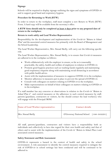#### **Signage**

Schools will be required to display signage outlining the signs and symptoms of COVID-19 and to support good hand and respiratory hygiene.

#### **Procedure for Returning to Work (RTW)**

In order to return to the workplace, staff must complete a new Return to Work (RTW) Form. A hard copy will be available from the secretary's office.

#### **A RTW form should only be completed at least 3 days prior to any proposed date of return to the workplace.**

#### **Return to work safely and Lead Worker Representative**

Responsibility for the development and implementation of the Covid-19 "*Return to School Plan*" and the associated control measures lies primarily with the Board of Management and the School Leadership.

The Lead Worker Representative, Mrs. Sinead Skelly, will carry out the following specific role.

The Lead Worker Representative, Mrs. Sinead Skelly, is to ensure that Covid-19 measures are adhered to in the workplace as follows:

- Work collaboratively with the employer to ensure, so far as is reasonably practicable, the safety, health and welfare of employees in relation to COVID-19.
- Promote good hygiene practices such as washing hands regularly and maintaining good respiratory etiquette along with maintaining social distancing in accordance with public health advice.
- Assist with the implementation of measures to suppress COVID-19 in the workplace.
- Monitor adherence to measures put in place to prevent the spread of COVID-19.
- Consult with colleagues on matters relating to COVID-19 in the workplace.
- Make representations on behalf of their colleagues on matters relating to COVID-19 in theworkplace.

If a staff member has any concerns or observations in relation to the Covid-19 "*Return to School Plan* 2" and control measures or the adherence to such control measures by staff, parents/guardians, contractors or visitors, he/she should contact the lead worker(s) who will engage with the Principal/BOM.

| <b>Name of Lead Worker representative:</b> | <b>Contact details</b>                   |
|--------------------------------------------|------------------------------------------|
| Mrs. Sinead Skelly                         | O'Growney National School { 046-9432291} |

All staff, parents/guardians, contractors and visitors have a responsibility both as individuals and collectively to have due regard for their own health and safety and that of others and to assist with the implementation of the Covid-19 "*Return to School Plan* 2 and associated control measures.

#### **Safety Statement and Risk Assessment**

COVID-19 represents a hazard in the context of health and safety in the school environment. A risk assessment to identify the control measures required to mitigate the risk of COVID-19 in school settings has been conducted and will be continued to be adhered to.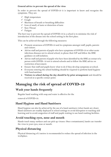#### **General advice to prevent the spread of the virus**

In order to prevent the spread of COVID-19 it is important to know and recognise the symptoms. They are:

- $\checkmark$  High temperature
- $\checkmark$  Cough
- $\checkmark$  Shortness of breath or breathing difficulties
- $\checkmark$  Loss of smell, of taste or distortion of taste
- $\checkmark$  Sore Throat
- $\checkmark$  Fatigue

The best way to prevent the spread of COVID-19 in a school is to minimise the risk of introduction of the disease into the school setting in the first place.

This can be achieved through the following measures:

- Promote awareness of COVID-19 and its symptoms amongst staff, pupils, parents and visitors.
- Advise staff and parents of pupils who have symptoms of COVID-19 or other acute infectious diseases not to attend school, to phone their GP and follow the HSE guidance on self-isolation.
- Advise staff and parents of pupils who have been identified by the HSE as contact of a person with COVID- 19 not to attend schools and to follow the HSE advice on restriction of movement.
- Ensure that staff and pupils know what to do if they develop symptoms at school.
- Everyone entering the school building should be required to perform hand hygiene with hand sanitiser.
- **Visitors to school during the day should be by prior arrangement** and should be received at a specific contact point.

# **Managing the risk of spread of COVID-19**

## **Wash your hands frequently**

Regular hand washing with soap and water is effective for the

removal of COVID-19.

## **Hand Hygiene and Hand Sanitisers**

Hand hygiene can also be achieved by the use of a hand sanitisers (when hands are clean). Hand sanitisers are readily deployed in school settings to avoid disruption to teaching and learning and to avoid congestion of staff and pupils waiting to use hand washing facilities.

## **Avoid touching eyes, nose and mouth**

Hands touch many surfaces and can pick up viruses. Once contaminated, hands can transfer the virus to your eyes, nose or mouth.

## **Physical distancing**

Physical distancing of 2 metres is recommended to reduce the spread of infection in the workplace.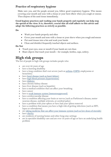## **Practice of respiratory hygiene**

Make sure you, and the people around you, follow good respiratory hygiene. This means covering your mouth and nose with a tissue or your bent elbow when you cough or sneeze. Then dispose of the used tissue immediately.

**Good hygiene practices and washing your hands properly and regularly can help stop the spread of the virus. It is, therefore, crucial that all staff adhere to this advice and adopt the following practices as strictly as possible.** 

**Do**

- Wash your hands properly and often
- Cover your mouth and nose with a tissue or your sleeve when you cough and sneeze
- Put used tissues into a bin and wash your hands
- Clean and disinfect frequently touched objects and surfaces.

#### **Do Not**

- Touch your eyes, nose or mouth if your hands are not clean
- Share objects that touch your mouth for example, bottles, cups, cutlery.

# **High risk groups**

The list of people in high risk groups includes people who:

- are over 60 years of age
- have a learning disability
- have a lung condition that's not severe (such as <u>[asthma,](https://www2.hse.ie/conditions/coronavirus/asthma.html) COPD</u>, emphysema or bronchitis)
- have [heart disease \(such as heart failure\)](https://www2.hse.ie/conditions/coronavirus/heart-conditions.html)
- have [high blood pressure \(hypertension\)](https://www2.hse.ie/conditions/coronavirus/high-blood-pressure.html)
- have [diabetes](https://www2.hse.ie/conditions/coronavirus/diabetes-and-coronavirus.html)
- have chronic kidney disease
- have liver disease (such as hepatitis)
- have a medical condition that can affect your breathing
- have cancer
- have a <u>[weak immune system \(immunosuppressed\)](https://www2.hse.ie/conditions/coronavirus/weak-immune-system.html)</u>
- have cerebrovascular disease
- have a condition affecting your brain or nerves (such as Parkinson's disease, motor neurone disease, multiple sclerosis, or cerebral palsy)
- have a problem with your spleen or have had your spleen removed
- have a condition that means you have a high risk of getting infections (such as HIV, lupus or scleroderma)
- are [taking medicine that can affect your immune system \(such as low doses of steroids\)](https://www2.hse.ie/conditions/coronavirus/weak-immune-system.html)
- have [obesity](https://www2.hse.ie/conditions/coronavirus/obesity-and-coronavirus.html)
- are residents of nursing homes and other long-stay settings
- are in specialist disability care and are over 50 years of age or have an underlying health problem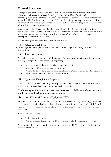## **Control Measures**

A range of essential control measures have been implemented to reduce the risk of the spread of Covid-19 virus and to protect the safety, health and welfare of staff, pupils, parents/guardians and visitors as far as possible within the school .These control measures are outlined in this document. It is critical that staff, pupils, parents/guardians and visitors are aware of, and adhere to, the control measures outlined and that they fully cooperate with all health and safety requirements.

Staff, in particular, should note that they have a legal obligation under Section 13 of the Safety, Health and Welfare at Work Act 2005 to comply with health and safety requirements and to take reasonable care for the health and safety of themselves, their colleagues and other parties within the workplace.

The following control measures have been put in place:

#### **i. Return to Work Form**

Staff are required to complete a new RTW form at least 3 days prior to any return to the school facility,

#### **ii. Induction Training**

All staff have undertaken Covid-19 Induction Training prior to returning to the school building. New practices and knowledge regarding:

- Latest up to-date advice and guidance on public health
- Latest Covid-19 symptoms from the variants
- What to do if a staff member or pupil develops symptoms of Covid-19 while atschool
- Outline of the Covid-19 "*Return to School Plan* 2"

#### **iii. Hygiene and Respiratory Etiquette**

It is crucial that all staff, pupils, parents/guardians, contractors and visitors are familiar with, and adopt, good hand and respiratory hygiene practices.

#### **Handwashing facilities and/or hand sanitisers are available at multiple locations within the school facility and in each classroom.**

#### **iv. Use of Personal Protective Equipment (PPE)**

PPE will not be required to be worn within the school facility according to current occupational and public health guidance. However, for a limited number of staff, PPE will need to be used occasionally or constantly due to the nature of certain work activities or work areas.

Such include roles where:

- Performing intimate care
- Where a suspected case of Covid-19 is identified while the school is in operation

Appropriate PPE is available for dealing with suspected COVID-19 cases, intimate care needs and for first aid.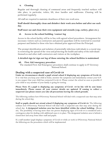#### **v. Cleaning**

Regular and thorough cleaning of communal areas and frequently touched surfaces will take place, in particular, toilets, lift, door handles and staffrooms. Cleaning will be performed regularly.

All staff are required to maintain cleanliness of their own work area.

#### **Staff should thoroughly clean and disinfect their work area before and after use each day.**

#### **Staff must use and clean their own equipment and utensils (cup, cutlery, plate etc.).**

#### **vi. Access to the school building /contact log**

Access to the school facility will be in line with agreed school procedures. Arrangement for necessary visitors such as contractors and parents/guardians will be restricted to essential purposes and limited to those who have obtained prior approval from the Principal.

The prompt identification and isolation of potentially infectious individuals is a crucial step in restricting the spread of the virus and protecting the health and safety of the individuals themselves and other staff, contractors and visitors at the workplace.

#### **A detailed sign in/sign out log of those entering the school facilities is maintained.**

#### **vii. First Aid/emergency procedure**

The standard First Aid/Emergency procedures shall continue to apply in O' Growney National School.

#### **Dealing with a suspected case of Covid-19**

**Under no circumstances should a pupil attend school if displaying any symptoms of Covid-19.** It is vital that you keep your child at home, monitor the symptoms and immediately contact your G.P. is you suspect that your child has contacted Covid-19. Please contact the school as soon as possible if your child or any member of your family is going for testing.

**Please Note: If a pupil is displaying any symptoms of Covid -19 he/she will be sent home immediately. Please ensure all your contact details are updated. If coming to collect a suspected case please ensure you take all precautions leaving the school grounds.**

The following outlines how O'Growney National School will deal with a suspected case that may arise during the school day.

**Staff or pupils should not attend school if displaying any symptoms of Covid-19.** The following outlines how O'Growney National School will deal with a suspected case that may arise during the school day. **A designated isolation area has been identified within the school building.** {Room 29}. The possibility of having more than one person displaying signs of Covid-19 is considered and a contingency plan for dealing with additional cases is in place. The designated isolation area is behind a closed door and away from other staff and pupils.

If a staff member/pupil displays symptoms of Covid-19 while at work in O'Growney National School the following are the procedures which will be implemented: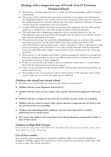## **Dealing with a suspected case of Covid-19 in O' Growney National School**

- $\triangleright$  If the person with the suspected case is a pupil, the parents/guardians will be contacted immediately.
- $\triangleright$  The person will be isolated and a procedure is in place to accompany the individual to the designated isolation area via the isolation route, keeping at least 2 metres away from the symptomatic person and also making sure that others maintain a distance of at least 2 metres from the symptomatic person at all times.
- $\triangleright$  A mask will be provided for the person presenting with symptoms. He/she will wear the mask if in a common area with other people or while exiting the premises.
- $\triangleright$  The individual who is displaying symptoms will be assessed whether he/she can immediately be directed to go home/be brought home by parents and call their doctor and continue self-isolation at home.
- $\triangleright$  The person presenting with symptoms will be facilitated to remain in isolation if they cannot immediately go home and the school will facilitate them calling their doctor. The individual should avoid touching people, surfaces and objects. Advice will be given to the person presenting with symptoms to cover their mouth and nose with the disposable tissue provided when they cough or sneeze and the tissue will be put in the waste bag provided.
- $\triangleright$  If the person is well enough to go home, it will be arranged for them to be transported home by a family member, as soon as possible and advise them to inform their general practitioner by phone of their symptoms.
- $\triangleright$  If they are too unwell to go home or advice is required, contact 999 or 112 and inform them that the sick person is a Covid-19 suspect.
- $\triangleright$  Carry out an assessment of the incident which will form part of determining follow-up actions and recovery
- $\triangleright$  If the pupil is very unwell, parents will be asked to drive in the side gate of the school yard to a discrete area where the child may be collected.

### **Children who should not attend school**

If your child is in one of the following categories, they should not attend school –

- **Children who have been diagnosed with Covid-19**
- **•** Children who have been in close contact with a person who has been diagnosed with Covid-**19**
- **Children who have a suspected case of Covid-19 and the outcome of the test is pending**
- **Children who have been in contact with a person who has a suspected case of Covid-19 and the outcome of the test is pending**
- **Children with underlying health conditions, who have been directed by a medical professional not to attend school**
- **We request that children who return from travel abroad should not attend school within 14 days of their return.**

#### **Children in High Risk Groups:**

Parents should seek advice from their G.P./Specialist about returning to school, if they think their child is in a high risk group.

#### **Use of Face masks:**

It is currently not recommended in Ireland for children under 13 to wear face masks as a mitigation strategy against the transmission of the coronavirus. If a parent wishes their child to wear a mask, this will be permitted.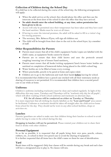## **Collection of Children during the School Day**

If a child has to be collected during the course of the school day, the following arrangements will apply:

- When the adult arrives at the school, they should phone the office and then use the intercom at the front door of the school to alert the office that they have arrived.
- **No adult should enter the school building, at any time, unless permission has been given to do so.**
- Access will only be permitted once their temperature has been taken and they have used the hand sanitiser. Masks must be worn at all times.
- If having to enter the internal premises, the adult will be asked to fill in a visitor's log for tracing purposes.
- The secretary, Mrs. Rebecca Flynn, will sign all children out.
- The child will be brought from their class to the exit in the school foyer, by a member of staff.

#### **Other Responsibilities for Parents**

- Parents must ensure that all of the child's equipment/books/copies are labelled with the child's name, as equipment/books cannot be shared.
- Parents are to ensure that their child knows and uses the protocols around coughing/sneezing/use of tissues/hand sanitisers.
- Parents must ensure that all books/writing equipment/lunch boxes/water bottles are sanitised on completion of homework before being placed in the child's school bag.
- Water bottles are to be filled at home every evening.
- Where practicable, pencils to be pared at home and copies ruled.
- Children are to go to the bathroom and wash their hands **before** leaving for school.

It is recommended that children have a pencil case stocked with all their stationary needs as sharing of resources is not permitted. It is recommended that children have a second pencil case to use while at home.

#### **Uniforms:**

Children's uniforms (including tracksuits) must be clean and washed regularly. In light of the difficulties this may cause, Tuesdays and Thursdays will be "tracksuit only day for all pupils", which will allow washing of both school uniforms and tracksuits on alternate days.

**P.E. for all classes will be conducted on either on Tuesday or Thursday.** It is more important that all clothing be clearly labelled, as the **"Lost and Found"** area cannot be facilitated. Uniforms or tracksuits should be taken off straight after the child arrives home from school for the day. They should *not* be worn in any after-school facilities, shops or activities etc.

#### **Lunches**

Parents/guardians are asked to make sure that children bring their lunches to school to avoid adults having to come to the school during the day.

**Dropping in lunches will not be permitted.** Please remind your children not to share their food or drinks with other children.

#### **Personal Equipment**

In so far as possible, it is requested that all pupils bring their own pens, pencils, colours, rubbers, etc., to school in their own pencil case to avoid the sharing of equipment. It is further requested that all items have the child's name on them for ease of identification.

#### **Yard**

Break times will be staggered. Only four classes will be outside during any break and each class will have a designated area to play in. No classes will mix.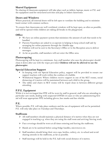## **Shared Equipment**

No sharing of classroom equipment will take place such as tablets, laptops, music or P.E. and the equipment used for structured activities and play in Infant classrooms.

#### **Doors and Windows**

Where practical, all internal doors will be left open to ventilate the building and to minimise hand contact with common surfaces.

To ensure that classrooms are well ventilated, windows will be kept open, as often as possible, and will be opened while children are taking all breaks in the playground.

#### **Office**

- $\triangleright$  We have an online payment system that minimises the amount of cash that needs to be handled.
- $\triangleright$  Parents/Guardians are asked to co-operate in helping to keep school staff safe by arranging for online payments through the Aladdin app.
- $\triangleright$  Children will not be sent to the Secretary's Office or to the Reception area to deliver messages.
- $\triangleright$  As far as possible, staff members will not enter the Office area.

#### **Photocopying**.

Photocopying will be kept to a minimum. Any staff member who uses the photocopier should clean it down after use with the wipes provided. **Children will not be allowed to use the photocopier**.

#### **Special Education Support**

- In keeping with our Special Education policy, support will be provided to ensure our support teachers will work within the confines of a bubble.
- Withdrawal Support: Where children receive support in one of the SET rooms, social distancing of 2 metres will be maintained between each child in the group.
- The tables and chairs in SET rooms will be wiped clean in between different groups attending

#### **P.P.E. Equipment**

While it is not envisaged that PPE will be worn by staff in general, staff who are attending to particular care needs, dealing with suspected COVID-19 cases or who are administering first aid will wear appropriate PPE including gloves, face masks and face shields.

#### **P.E.**

Where possible, P.E. will take place outdoors and the use of equipment will not be permitted. P.E. will only take place on Tuesdays and Thursdays.

#### **Staffroom**

- $\triangleright$  All staff members should maintain a physical distance of 2 metres when they are not engaged in teaching e.g. when they are using the staff room and arriving/leaving work.
- $\triangleright$  Face coverings should be worn at all times entering and leaving the staffroom.
- $\triangleright$  Hands are to be sanitised before using fridge handles, microwaves etc.
- $\triangleright$  Staff members should bring their own cups, bottles, cutlery, etc. to school and avoid sharing utensils in the staffroom, as far as possible.
- $\triangleright$  Staff meetings will be held in the P.E. hall with social distance of 2 metres.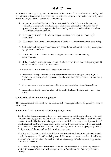## **Staff Duties**

Staff have a statutory obligation to take reasonable care for their own health and safety and that of their colleagues and other parties. In order to facilitate a safe return to work, these duties include, but are not limited to, the following:

- Adhere to the School Covid-19 "*Return to School Plan* 2"and the control measures outlined. The cooperation and assistance of all staff is essential to reduce the risk of spread of Covid-19 and to protect health and safety as far as possible within the school. All staff have a key role to play.
- $\triangleright$  Coordinate and work with their colleagues to ensure that physical distancing is maintained.
- $\triangleright$  Make themselves aware of the symptoms of Covid-19 and monitor their own wellbeing.
- $\triangleright$  Self-isolate at home and contact their GP promptly for further advice if they display any symptoms of Covid-19.
- $\triangleright$  Not return or attend school if they have symptoms of Covid-19 under any circumstances.
- $\triangleright$  If they develop any symptoms of Covid-19 whilst within the school facility, they should adhere to the procedure outlined above.
- $\triangleright$  Complete the RTW form before they return to work.
- $\triangleright$  Inform the Principal if there are any other circumstances relating to Covid-19, not included in the form, which may need to be disclosed to facilitate their safe return to the workplace.
- $\triangleright$  Must be aware of, and adhere to, good hygiene and respiratory etiquette practices.
- Keep informed of the updated advice of the publ**ic** health authorities and comply with same.

#### **Covid related absence management**

The management of a Covid-19 related absence will be managed in line with agreed procedures with D.E.S.

#### **Employee Assistance and Wellbeing Programme**

The Board of Management aims to protect and support the health and wellbeing of all staff (physical, mental, spiritual etc.) both at work, whether in the school facility or at home and outside of work. The Board of Management is mindful that the support and promotion of staff health and wellbeing is particularly important in the current context where the Covid-19 pandemic has caused considerable challenges for, and disruption to, people's personal, family and social lives as well as their work arrangements.

The Board of Management aims to foster a culture and work environment that support healthy behaviours and staff wellbeing and shall continue to make health and wellbeing tools and guidance available to staff as well as organising suitable support programmes, initiatives and events.

These are challenging times for everyone. Should a staff member experience any stress or anxiety in respect of work or work arrangements, he/she should feel free to speak to the Principal.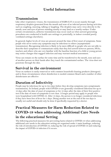# **Useful Information**

# **Transmission**

Like other respiratory viruses, the transmission of SARS-CoV-2 occurs mainly through respiratory droplets generated from the mouth and nose of an infected person during activities such as coughing, sneezing, talking or laughing. The droplets may carry virus directly to the mouth, nose and eyes of person standing nearby or may land on a nearby surface. Under certain circumstances, airborne transmission may occur (such as when aerosol generating procedures are conducted in health care settings or potentially, in indoor crowded poorly ventilated settings elsewhere).

In general, higher levels of virus are present around the time of first onset of symptoms. Some people who never notice any symptoms may be infectious to others (asymptomatic transmission). Recognising infection is likely to be more difficult in people who are not able to describe their symptoms or communicate easily that they feel unwell however parents, SNAs, teachers and others who am very familiar with the baseline function of a child or young person may notice changes that suggest infection and may warrant medical assessment.

Virus can remain on the surface for some time and be transferred to the mouth, nose and eyes of another person on their hands after they touch the contaminated surface. The virus does not penetrate through the skin.

## **Survival in the environment**

Virus on surfaces is easily removed or with common household cleaning products (detergent) and in those circumstances where disinfection is needed common bleach and a number of other disinfectants are effective

# **Duration of Infectivity**

People may be infectious for up to two days before they develop symptoms (pre-symptomatic transmission). In Ireland, people with COVID-19 are generally considered infectious for up to 10 days after the date of onset of symptoms or for 10 days after the date of their first positive test if the date of onset of symptoms is not clear. A longer period may apply to people who were hospitalised with COVID-19. After 10 days, the person is no longer considered infectious if they have been free of fever for 5 days. Doing another test at the end of the ten days is usually not useful and should only be done if specifically requested by a doctor.

# **Practical Measures for Harm Reduction Related to COVID-19 when addressing Additional Care Needs in the educational Setting**

The following practical measures for preventing harm related to COVID-19 when addressing additional care needs in the education setting are organised under 3 main headings, reducing the risk of introduction of COVID-19, reducing the risk of spread of COVID-19 and reducing the impact of COVID-19 infection if it occurs.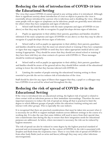# **Reducing the risk of introduction of COVID-19 into the Educational Setting**

The virus that causes COVID-19 cannot spread in any setting unless it is introduced. Although there is significant anxiety about introduction of virus on objects in practice the virus is essentially always introduced by a person who is infectious and is shedding the virus. Although some people with no signs or symptoms can be infectious, people are generally most infectious for others when they have symptoms and signs of infection.

*1.* School staff should be familiar with the main symptoms and signs of COVID-19 (see above) so that they may be able to recognise if a pupil develops obvious signs of infection.

*2.* Pupils (as appropriate to their ability) their parents, guardians and families should be informed of the main symptoms and signs of COVID-19 (see above) so that they may be able to recognise if a pupil develops obvious signs of infection.

*3.* School staff as well as pupils (as appropriate to their ability), their parents, guardians and families should be aware that the must not attend school or training if they have symptoms or signs that may suggest COVID-19 until they have taken appropriate medical advice and testing if appropriate. They should be aware that they should not attend school or training if they have been told they are close contacts of a person with COVID-19. These messages should be reinforced regularly.

*4.* School staff as well as pupils (as appropriate to their ability), their parents, guardians and families should be aware of the general advice they should follow outside of the educational setting to lower the risk that they become infected with COVID-19.

*5.* Limiting the number of people entering the educational/training setting to those essential to provide the service reduces risk of introduction of the virus.

Staff should be alert for any signs of illness that suggest that they, a pupil or a colleague may have COVID-19 on arrival for school and throughout the day.

# **Reducing the risk of spread of COVID-19 in the Educational Setting**

If the virus is introduced into an educational setting, the highest risk of spread is related to close contact with an infectious person or their immediate surroundings. Therefore the most important measures to reduce the risk of spread are doing all that is practical to limit the degree to which different groups of people within the education/training setting mix and interact with other groups. This is especially the case indoors.

It is recognised that there are practical considerations that must be taken into account when it is necessary for an SNA to support multiple students across different settings in the course of a working day. It is also the case that some children will need to move from their special class into a mainstream class during the day to ensure that their integration needs for educational purposes are addressed. As below, where movement is necessary the risk can be reduced by hygiene measures.

The risk of spread can also be reduced to some degree by the highest practical standard of personal and environmental hygiene. In the context of COVID-19, the risk is associated with droplets and fluids from the respiratory tract. There is very little risk of spread of COVID-19 from other body fluids (such as urine and faeces) although they may carry other infectious microorganisms.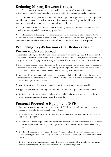# **Reducing Mixing Between Groups**

*1.* To the greatest degree that is practical in the context of the educational and care needs of the pupils groups/classes should avoid mixing with other groups particularly indoors.

*2.* SNA should support the smallest number of pupils that is practical (a pod of pupils) and should move between pods as little as is practical to do so recognising that flexibility is sometime essential to manage absence due to leave or illness.

*3.* If movement between pods/classes is necessary SNAs should move between the least possible number of pods/classes on any given day.

*4.* If members of discrete pods/classes assemble in one area for meals or other activities maintain as much distance as is practical between the pods/classes and manage entry and exit to reduce interaction between members of different pods/classes as much as is practical.

# **Promoting Key-Behaviours that Reduces risk of Person to Person Spread**

- *1.* Promote hand hygiene for staff and pupils particularly on boarding a bus if there is shared transport, on arrival at the school/centre each day, prior to departure, before meals and after any contact with the pupil that is likely to have resulted in contact with oral or nasal fluid.
- *2.* There should be ready access to hand sanitiser in all educational settings with due regard in relation to placement to avoid the risk of ingestion by pupils. Please note also that alcohol based hand rub is flammable and needs to be kept away from naked flame.
- *3.* Providing SNAs with personal pocket size dispensers of alcohol hand gel may be useful, particularly if wall mounted dispensers are not a safe option in a particular context and also for use during outdoor activities.
- *4.* Promote respiratory hygiene and cough etiquette to the greatest extent possible.
- *5.* Support in performing hand hygiene should be provided to pupils who need assistance.
- *6.* Limit sharing of items between members of the pod in so far as is practical especially with respect to items that pupils may put in their mouth.

# **Personal Protective Equipment (PPE)**

- *1.* Personal protective equipment in the setting of COVID refers to items that are used to reduce the risk of infection in particular settings.
- *2.* PPE can be of value as an addition to all the other measures outlined here to reduce the risk of infection for SNAs.
- *3.* As with all children, pupils with additional care needs should not be required to wear a face covering if they are under 13 years of age. Those who choose to wear a face covering may do so.
- *4.* Pupils with additional care needs who are 13 years or older should not be required to wear a face covering if the face covering causes distress or is a barrier to their education and care needs.
- *5.* In this context and in association with other measures specified the use of a face covering should be routine for SNAs in accordance with Government guidance.